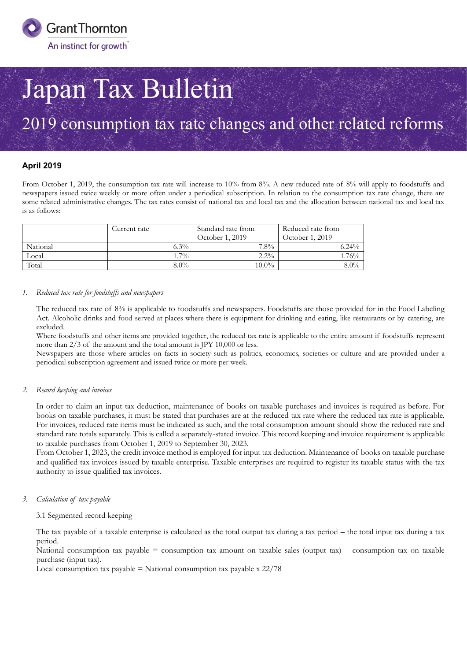

# Japan Tax Bulletin

## 2019 consumption tax rate changes and other related reforms

#### **April 2019**

From October 1, 2019, the consumption tax rate will increase to 10% from 8%. A new reduced rate of 8% will apply to foodstuffs and newspapers issued twice weekly or more often under a periodical subscription. In relation to the consumption tax rate change, there are some related administrative changes. The tax rates consist of national tax and local tax and the allocation between national tax and local tax is as follows:

|          | Current rate | Standard rate from<br>October 1, 2019 | Reduced rate from<br>October 1, 2019 |
|----------|--------------|---------------------------------------|--------------------------------------|
| National | $6.3\%$      | $7.8\%$                               | $6.24\%$                             |
| Local    | $1.7\%$      | $2.2\%$                               | $1.76\%$                             |
| Total    | $8.0\%$      | $10.0\%$                              | $8.0\%$                              |

#### *1. Reduced tax rate for foodstuffs and newspapers*

The reduced tax rate of 8% is applicable to foodstuffs and newspapers. Foodstuffs are those provided for in the Food Labeling Act. Alcoholic drinks and food served at places where there is equipment for drinking and eating, like restaurants or by catering, are excluded.

Where foodstuffs and other items are provided together, the reduced tax rate is applicable to the entire amount if foodstuffs represent more than 2/3 of the amount and the total amount is JPY 10,000 or less.

Newspapers are those where articles on facts in society such as politics, economics, societies or culture and are provided under a periodical subscription agreement and issued twice or more per week.

#### *2. Record keeping and invoices*

In order to claim an input tax deduction, maintenance of books on taxable purchases and invoices is required as before. For books on taxable purchases, it must be stated that purchases are at the reduced tax rate where the reduced tax rate is applicable. For invoices, reduced rate items must be indicated as such, and the total consumption amount should show the reduced rate and standard rate totals separately. This is called a separately-stated invoice. This record keeping and invoice requirement is applicable to taxable purchases from October 1, 2019 to September 30, 2023.

From October 1, 2023, the credit invoice method is employed for input tax deduction. Maintenance of books on taxable purchase and qualified tax invoices issued by taxable enterprise. Taxable enterprises are required to register its taxable status with the tax authority to issue qualified tax invoices.

#### *3. Calculation of tax payable*

#### 3.1 Segmented record keeping

The tax payable of a taxable enterprise is calculated as the total output tax during a tax period – the total input tax during a tax period.

National consumption tax payable = consumption tax amount on taxable sales (output tax) – consumption tax on taxable purchase (input tax).

Local consumption tax payable  $=$  National consumption tax payable x  $22/78$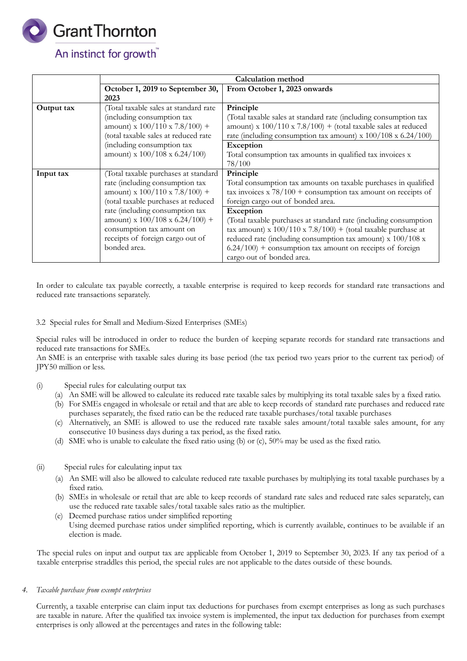

## An instinct for growth<sup>"</sup>

|                            | <b>Calculation method</b>             |                                                                     |  |
|----------------------------|---------------------------------------|---------------------------------------------------------------------|--|
|                            | October 1, 2019 to September 30,      | From October 1, 2023 onwards                                        |  |
|                            | 2023                                  |                                                                     |  |
| Output tax                 | (Total taxable sales at standard rate | Principle                                                           |  |
|                            | (including consumption tax            | (Total taxable sales at standard rate (including consumption tax    |  |
|                            | amount) x $100/110$ x $7.8/100$ ) +   | amount) x $100/110$ x $7.8/100$ ) + (total taxable sales at reduced |  |
|                            | (total taxable sales at reduced rate  | rate (including consumption tax amount) x 100/108 x 6.24/100)       |  |
| (including consumption tax |                                       | Exception                                                           |  |
|                            | amount) x $100/108$ x 6.24/100)       | Total consumption tax amounts in qualified tax invoices x           |  |
|                            |                                       | 78/100                                                              |  |
| Input tax                  | (Total taxable purchases at standard  | Principle                                                           |  |
|                            | rate (including consumption tax       | Total consumption tax amounts on taxable purchases in qualified     |  |
|                            | amount) x $100/110$ x $7.8/100$ +     | tax invoices x $78/100$ + consumption tax amount on receipts of     |  |
|                            | (total taxable purchases at reduced   | foreign cargo out of bonded area.                                   |  |
|                            | rate (including consumption tax       | <b>Exception</b>                                                    |  |
|                            | amount) x $100/108$ x $6.24/100$ ) +  | (Total taxable purchases at standard rate (including consumption    |  |
|                            | consumption tax amount on             | tax amount) x $100/110$ x $7.8/100$ ) + (total taxable purchase at  |  |
|                            | receipts of foreign cargo out of      | reduced rate (including consumption tax amount) x 100/108 x         |  |
|                            | bonded area.                          | $6.24/100$ ) + consumption tax amount on receipts of foreign        |  |
|                            |                                       | cargo out of bonded area.                                           |  |

In order to calculate tax payable correctly, a taxable enterprise is required to keep records for standard rate transactions and reduced rate transactions separately.

#### 3.2 Special rules for Small and Medium-Sized Enterprises (SMEs)

Special rules will be introduced in order to reduce the burden of keeping separate records for standard rate transactions and reduced rate transactions for SMEs.

An SME is an enterprise with taxable sales during its base period (the tax period two years prior to the current tax period) of JPY50 million or less.

- (i) Special rules for calculating output tax
	- (a) An SME will be allowed to calculate its reduced rate taxable sales by multiplying its total taxable sales by a fixed ratio.
	- (b) For SMEs engaged in wholesale or retail and that are able to keep records of standard rate purchases and reduced rate purchases separately, the fixed ratio can be the reduced rate taxable purchases/total taxable purchases
	- (c) Alternatively, an SME is allowed to use the reduced rate taxable sales amount/total taxable sales amount, for any consecutive 10 business days during a tax period, as the fixed ratio.
	- (d) SME who is unable to calculate the fixed ratio using (b) or (c), 50% may be used as the fixed ratio.
- (ii) Special rules for calculating input tax
	- (a) An SME will also be allowed to calculate reduced rate taxable purchases by multiplying its total taxable purchases by a fixed ratio.
	- (b) SMEs in wholesale or retail that are able to keep records of standard rate sales and reduced rate sales separately, can use the reduced rate taxable sales/total taxable sales ratio as the multiplier.
	- (e) Deemed purchase ratios under simplified reporting
	- Using deemed purchase ratios under simplified reporting, which is currently available, continues to be available if an election is made.

The special rules on input and output tax are applicable from October 1, 2019 to September 30, 2023. If any tax period of a taxable enterprise straddles this period, the special rules are not applicable to the dates outside of these bounds.

#### *4. Taxable purchase from exempt enterprises*

Currently, a taxable enterprise can claim input tax deductions for purchases from exempt enterprises as long as such purchases are taxable in nature. After the qualified tax invoice system is implemented, the input tax deduction for purchases from exempt enterprises is only allowed at the percentages and rates in the following table: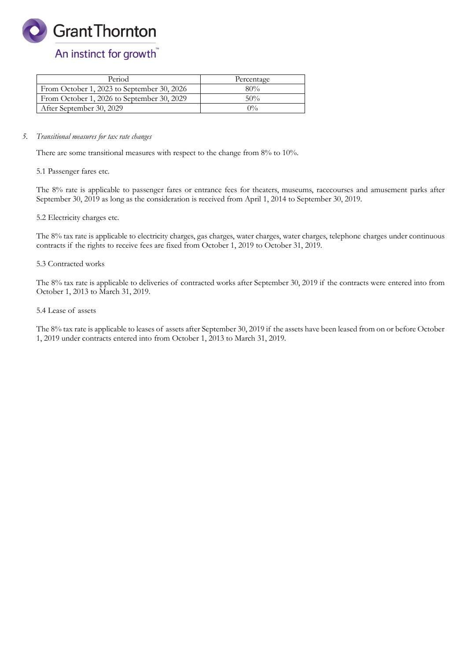**Grant Thornton** 

## An instinct for growth<sup>"</sup>

| Period                                     | Percentage |
|--------------------------------------------|------------|
| From October 1, 2023 to September 30, 2026 | 80%        |
| From October 1, 2026 to September 30, 2029 | 50%        |
| After September 30, 2029                   | $0\%$      |

#### *5. Transitional measures for tax rate changes*

There are some transitional measures with respect to the change from 8% to 10%.

5.1 Passenger fares etc.

The 8% rate is applicable to passenger fares or entrance fees for theaters, museums, racecourses and amusement parks after September 30, 2019 as long as the consideration is received from April 1, 2014 to September 30, 2019.

#### 5.2 Electricity charges etc.

The 8% tax rate is applicable to electricity charges, gas charges, water charges, water charges, telephone charges under continuous contracts if the rights to receive fees are fixed from October 1, 2019 to October 31, 2019.

#### 5.3 Contracted works

The 8% tax rate is applicable to deliveries of contracted works after September 30, 2019 if the contracts were entered into from October 1, 2013 to March 31, 2019.

#### 5.4 Lease of assets

The 8% tax rate is applicable to leases of assets after September 30, 2019 if the assets have been leased from on or before October 1, 2019 under contracts entered into from October 1, 2013 to March 31, 2019.